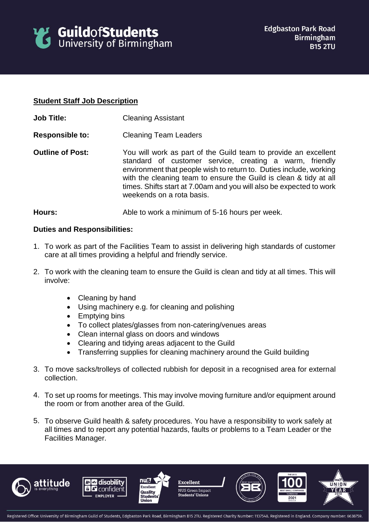

## **Student Staff Job Description**

- **Job Title:** Cleaning Assistant
- **Responsible to:** Cleaning Team Leaders
- **Outline of Post:** You will work as part of the Guild team to provide an excellent standard of customer service, creating a warm, friendly environment that people wish to return to. Duties include, working with the cleaning team to ensure the Guild is clean & tidy at all times. Shifts start at 7.00am and you will also be expected to work weekends on a rota basis.

## **Hours:** Able to work a minimum of 5-16 hours per week.

## **Duties and Responsibilities:**

- 1. To work as part of the Facilities Team to assist in delivering high standards of customer care at all times providing a helpful and friendly service.
- 2. To work with the cleaning team to ensure the Guild is clean and tidy at all times. This will involve:
	- Cleaning by hand
	- Using machinery e.g. for cleaning and polishing
	- Emptying bins
	- To collect plates/glasses from non-catering/venues areas
	- Clean internal glass on doors and windows
	- Clearing and tidying areas adjacent to the Guild
	- Transferring supplies for cleaning machinery around the Guild building
- 3. To move sacks/trolleys of collected rubbish for deposit in a recognised area for external collection.
- 4. To set up rooms for meetings. This may involve moving furniture and/or equipment around the room or from another area of the Guild.
- 5. To observe Guild health & safety procedures. You have a responsibility to work safely at all times and to report any potential hazards, faults or problems to a Team Leader or the Facilities Manager.











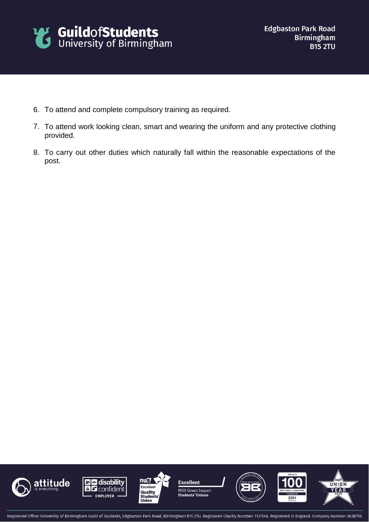

- 6. To attend and complete compulsory training as required.
- 7. To attend work looking clean, smart and wearing the uniform and any protective clothing provided.
- 8. To carry out other duties which naturally fall within the reasonable expectations of the post.